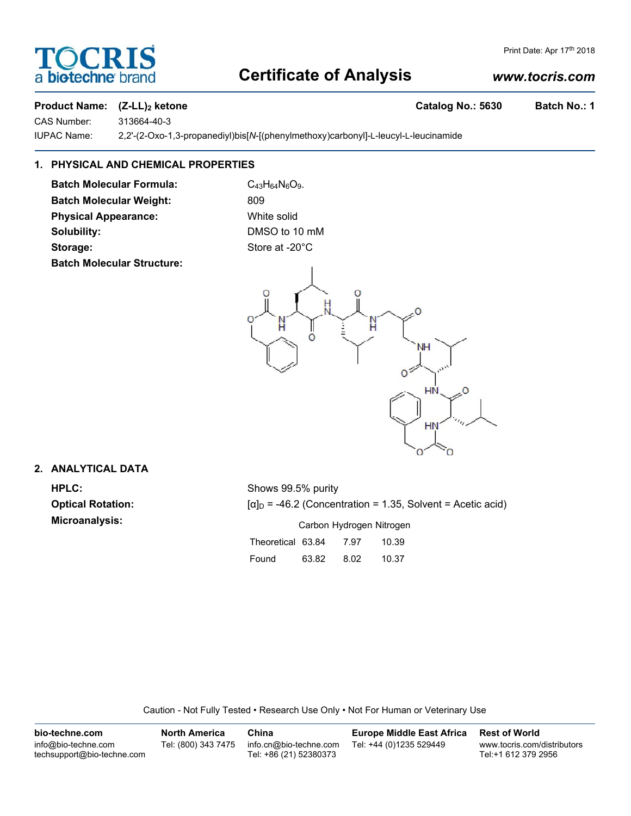# **Certificate of Analysis**

# *www.tocris.com*

Print Date: Apr 17th 2018

# Product Name: (Z-LL)<sub>2</sub> ketone **Catalog No.: 5630 Batch No.: 1**

**biotechr** 

CAS Number: 313664-40-3

IUPAC Name: 2,2'-(2-Oxo-1,3-propanediyl)bis[*N*-[(phenylmethoxy)carbonyl]-L-leucyl-L-leucinamide

# **1. PHYSICAL AND CHEMICAL PROPERTIES**

**Batch Molecular Formula:** C<sub>43</sub>H<sub>64</sub>N<sub>6</sub>O<sub>9</sub>. **Batch Molecular Weight:** 809 **Physical Appearance:** White solid **Solubility:** DMSO to 10 mM Storage: Store at -20°C **Batch Molecular Structure:**



# **2. ANALYTICAL DATA**

**HPLC:** Shows 99.5% purity

**Optical Rotation:**  $[\alpha]_D = -46.2$  (Concentration = 1.35, Solvent = Acetic acid) **Microanalysis:** Microanalysis: **Carbon Hydrogen Nitrogen** 

| Theoretical 63.84 |       | 7.97 | 10.39 |
|-------------------|-------|------|-------|
| Found             | 63.82 | 8.02 | 10.37 |

Caution - Not Fully Tested • Research Use Only • Not For Human or Veterinary Use

| bio-techne.com                                    | <b>North America</b> | China                                            | <b>Europe Middle East Africa</b> | <b>Rest of World</b>                               |
|---------------------------------------------------|----------------------|--------------------------------------------------|----------------------------------|----------------------------------------------------|
| info@bio-techne.com<br>techsupport@bio-techne.com | Tel: (800) 343 7475  | info.cn@bio-techne.com<br>Tel: +86 (21) 52380373 | Tel: +44 (0)1235 529449          | www.tocris.com/distributors<br>Tel:+1 612 379 2956 |